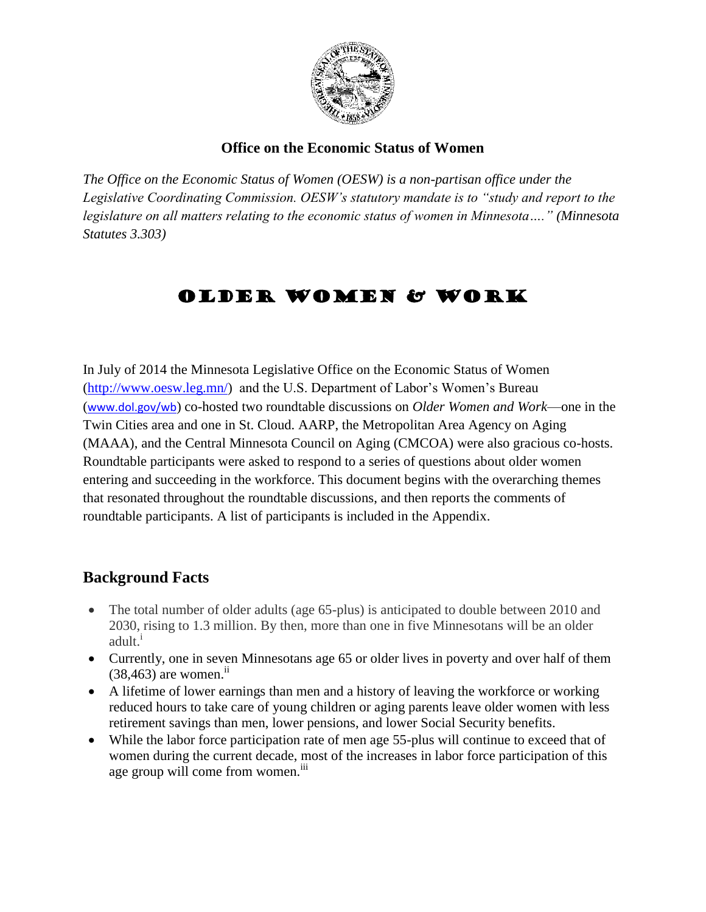

### **Office on the Economic Status of Women**

*The Office on the Economic Status of Women (OESW) is a non-partisan office under the Legislative Coordinating Commission. OESW's statutory mandate is to "study and report to the legislature on all matters relating to the economic status of women in Minnesota…." (Minnesota Statutes 3.303)*

# OLDER WOMEN & WORK

In July of 2014 the Minnesota Legislative Office on the Economic Status of Women [\(http://www.oesw.leg.mn/\)](http://www.oesw.leg.mn/) and the U.S. Department of Labor's Women's Bureau ([www.dol.gov/wb](http://www.dol.gov/wb)) co-hosted two roundtable discussions on *Older Women and Work*—one in the Twin Cities area and one in St. Cloud. AARP, the Metropolitan Area Agency on Aging (MAAA), and the Central Minnesota Council on Aging (CMCOA) were also gracious co-hosts. Roundtable participants were asked to respond to a series of questions about older women entering and succeeding in the workforce. This document begins with the overarching themes that resonated throughout the roundtable discussions, and then reports the comments of roundtable participants. A list of participants is included in the Appendix.

## **Background Facts**

- The total number of older adults (age 65-plus) is anticipated to double between 2010 and 2030, rising to 1.3 million. By then, more than one in five Minnesotans will be an older adult.<sup>i</sup>
- Currently, one in seven Minnesotans age 65 or older lives in poverty and over half of them  $(38, 463)$  are women.<sup>ii</sup>
- A lifetime of lower earnings than men and a history of leaving the workforce or working reduced hours to take care of young children or aging parents leave older women with less retirement savings than men, lower pensions, and lower Social Security benefits.
- While the labor force participation rate of men age 55-plus will continue to exceed that of women during the current decade, most of the increases in labor force participation of this age group will come from women.<sup>iii</sup>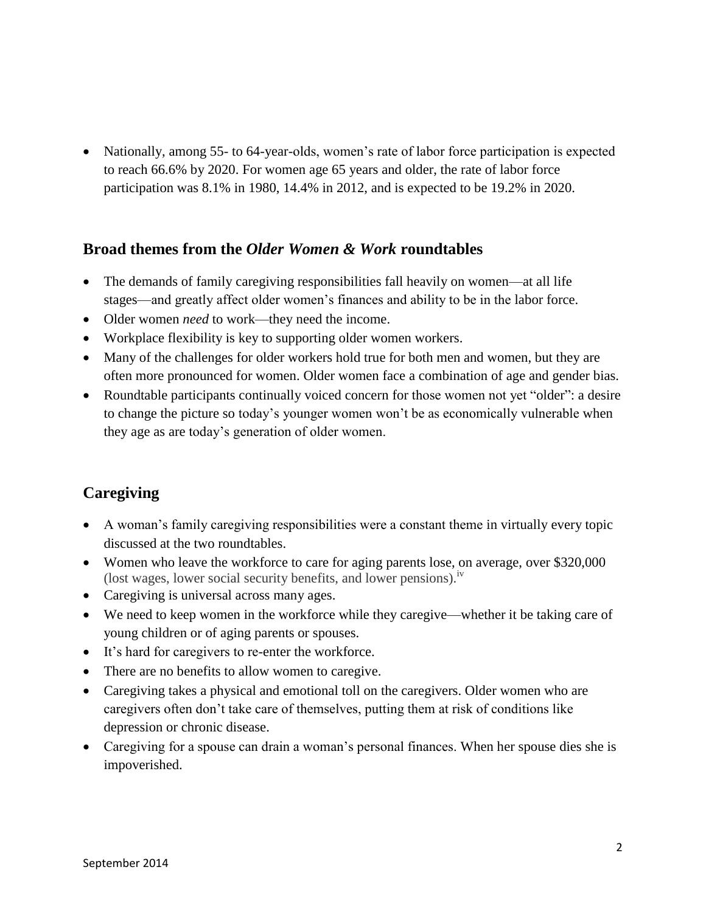• Nationally, among 55- to 64-year-olds, women's rate of labor force participation is expected to reach 66.6% by 2020. For women age 65 years and older, the rate of labor force participation was 8.1% in 1980, 14.4% in 2012, and is expected to be 19.2% in 2020.

## **Broad themes from the** *Older Women & Work* **roundtables**

- The demands of family caregiving responsibilities fall heavily on women—at all life stages—and greatly affect older women's finances and ability to be in the labor force.
- Older women *need* to work—they need the income.
- Workplace flexibility is key to supporting older women workers.
- Many of the challenges for older workers hold true for both men and women, but they are often more pronounced for women. Older women face a combination of age and gender bias.
- Roundtable participants continually voiced concern for those women not yet "older": a desire to change the picture so today's younger women won't be as economically vulnerable when they age as are today's generation of older women.

# **Caregiving**

- A woman's family caregiving responsibilities were a constant theme in virtually every topic discussed at the two roundtables.
- Women who leave the workforce to care for aging parents lose, on average, over \$320,000 (lost wages, lower social security benefits, and lower pensions).<sup>1V</sup>
- Caregiving is universal across many ages.
- We need to keep women in the workforce while they caregive—whether it be taking care of young children or of aging parents or spouses.
- It's hard for caregivers to re-enter the workforce.
- There are no benefits to allow women to caregive.
- Caregiving takes a physical and emotional toll on the caregivers. Older women who are caregivers often don't take care of themselves, putting them at risk of conditions like depression or chronic disease.
- Caregiving for a spouse can drain a woman's personal finances. When her spouse dies she is impoverished.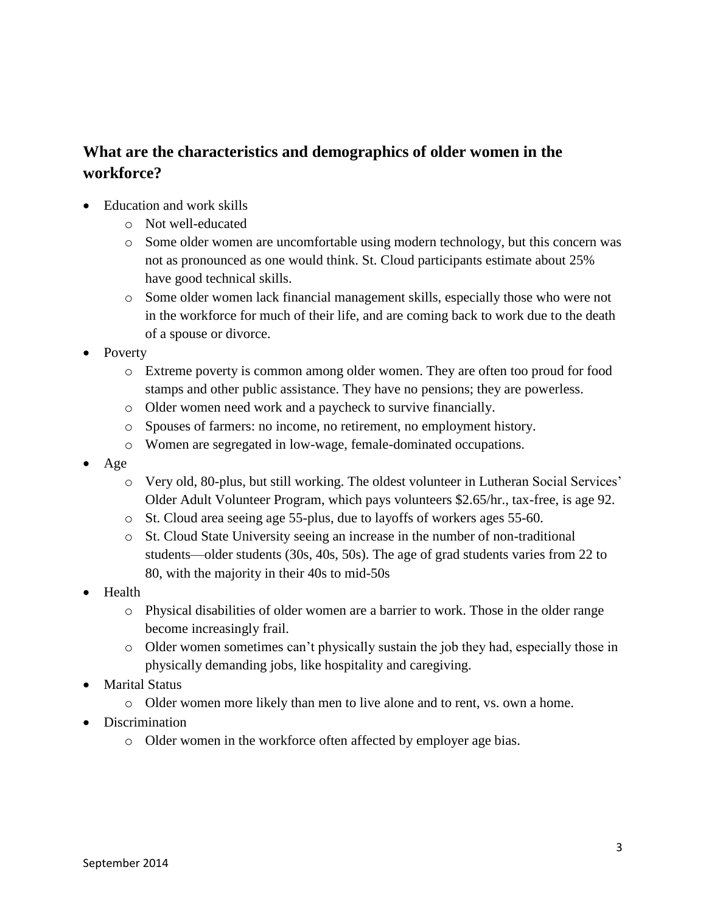# **What are the characteristics and demographics of older women in the workforce?**

- Education and work skills
	- o Not well-educated
	- o Some older women are uncomfortable using modern technology, but this concern was not as pronounced as one would think. St. Cloud participants estimate about 25% have good technical skills.
	- o Some older women lack financial management skills, especially those who were not in the workforce for much of their life, and are coming back to work due to the death of a spouse or divorce.
- Poverty
	- o Extreme poverty is common among older women. They are often too proud for food stamps and other public assistance. They have no pensions; they are powerless.
	- o Older women need work and a paycheck to survive financially.
	- o Spouses of farmers: no income, no retirement, no employment history.
	- o Women are segregated in low-wage, female-dominated occupations.
- Age
	- o Very old, 80-plus, but still working. The oldest volunteer in Lutheran Social Services' Older Adult Volunteer Program, which pays volunteers \$2.65/hr., tax-free, is age 92.
	- o St. Cloud area seeing age 55-plus, due to layoffs of workers ages 55-60.
	- o St. Cloud State University seeing an increase in the number of non-traditional students—older students (30s, 40s, 50s). The age of grad students varies from 22 to 80, with the majority in their 40s to mid-50s
- Health
	- o Physical disabilities of older women are a barrier to work. Those in the older range become increasingly frail.
	- o Older women sometimes can't physically sustain the job they had, especially those in physically demanding jobs, like hospitality and caregiving.
- Marital Status
	- o Older women more likely than men to live alone and to rent, vs. own a home.
- Discrimination
	- o Older women in the workforce often affected by employer age bias.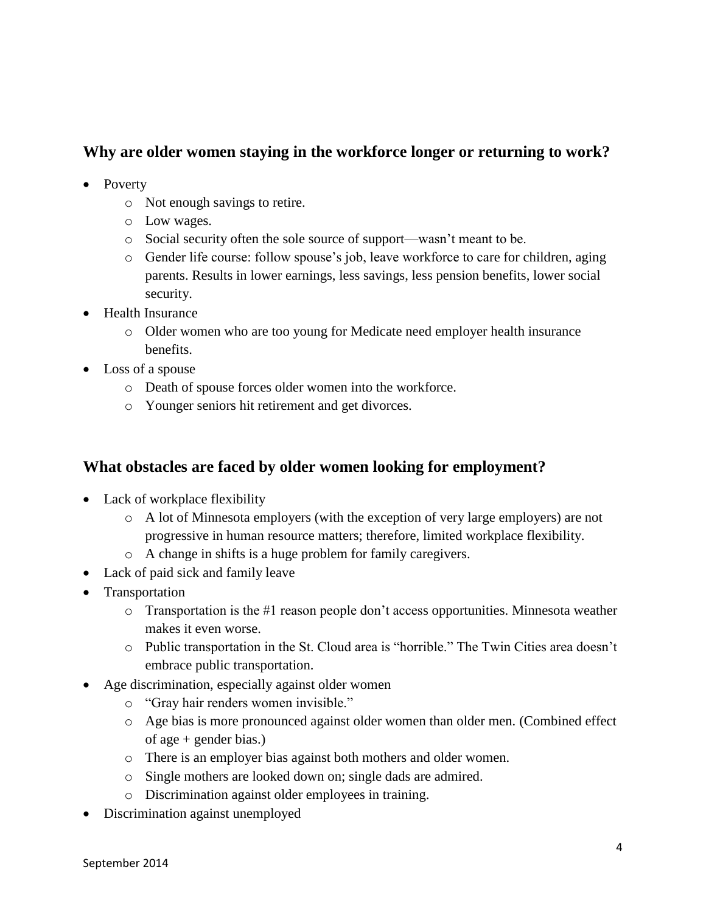# **Why are older women staying in the workforce longer or returning to work?**

- Poverty
	- o Not enough savings to retire.
	- o Low wages.
	- o Social security often the sole source of support—wasn't meant to be.
	- o Gender life course: follow spouse's job, leave workforce to care for children, aging parents. Results in lower earnings, less savings, less pension benefits, lower social security.
- Health Insurance
	- o Older women who are too young for Medicate need employer health insurance benefits.
- Loss of a spouse
	- o Death of spouse forces older women into the workforce.
	- o Younger seniors hit retirement and get divorces.

## **What obstacles are faced by older women looking for employment?**

- Lack of workplace flexibility
	- o A lot of Minnesota employers (with the exception of very large employers) are not progressive in human resource matters; therefore, limited workplace flexibility.
	- o A change in shifts is a huge problem for family caregivers.
- Lack of paid sick and family leave
- Transportation
	- $\circ$  Transportation is the #1 reason people don't access opportunities. Minnesota weather makes it even worse.
	- o Public transportation in the St. Cloud area is "horrible." The Twin Cities area doesn't embrace public transportation.
- Age discrimination, especially against older women
	- o "Gray hair renders women invisible."
	- o Age bias is more pronounced against older women than older men. (Combined effect of age + gender bias.)
	- o There is an employer bias against both mothers and older women.
	- o Single mothers are looked down on; single dads are admired.
	- o Discrimination against older employees in training.
- Discrimination against unemployed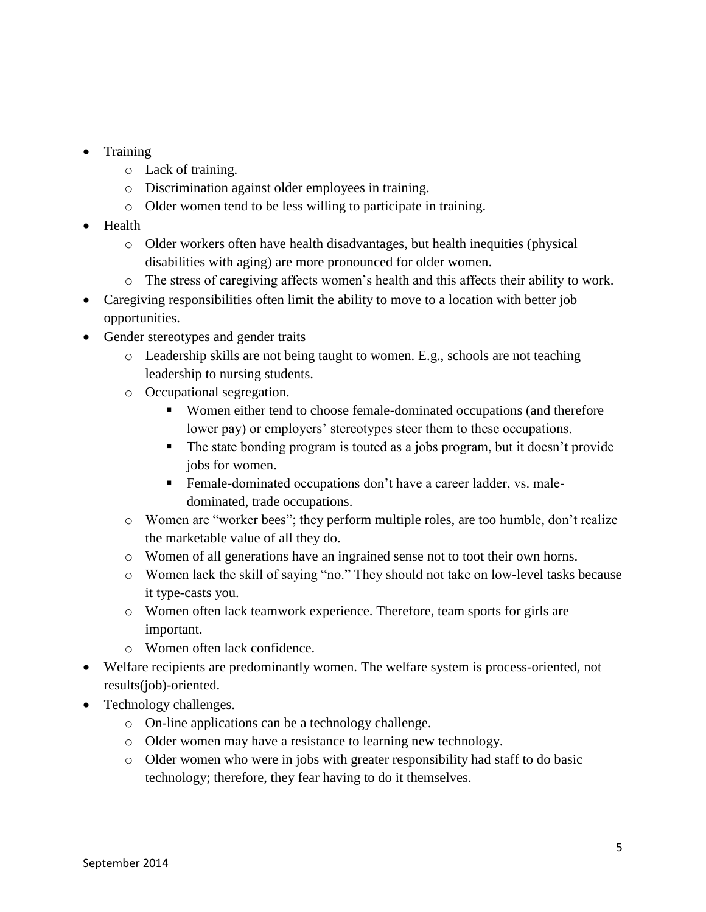- Training
	- o Lack of training.
	- o Discrimination against older employees in training.
	- o Older women tend to be less willing to participate in training.
- Health
	- o Older workers often have health disadvantages, but health inequities (physical disabilities with aging) are more pronounced for older women.
	- o The stress of caregiving affects women's health and this affects their ability to work.
- Caregiving responsibilities often limit the ability to move to a location with better job opportunities.
- Gender stereotypes and gender traits
	- $\circ$  Leadership skills are not being taught to women. E.g., schools are not teaching leadership to nursing students.
	- o Occupational segregation.
		- Women either tend to choose female-dominated occupations (and therefore lower pay) or employers' stereotypes steer them to these occupations.
		- The state bonding program is touted as a jobs program, but it doesn't provide jobs for women.
		- Female-dominated occupations don't have a career ladder, vs. maledominated, trade occupations.
	- o Women are "worker bees"; they perform multiple roles, are too humble, don't realize the marketable value of all they do.
	- o Women of all generations have an ingrained sense not to toot their own horns.
	- o Women lack the skill of saying "no." They should not take on low-level tasks because it type-casts you.
	- o Women often lack teamwork experience. Therefore, team sports for girls are important.
	- o Women often lack confidence.
- Welfare recipients are predominantly women. The welfare system is process-oriented, not results(job)-oriented.
- Technology challenges.
	- o On-line applications can be a technology challenge.
	- o Older women may have a resistance to learning new technology.
	- o Older women who were in jobs with greater responsibility had staff to do basic technology; therefore, they fear having to do it themselves.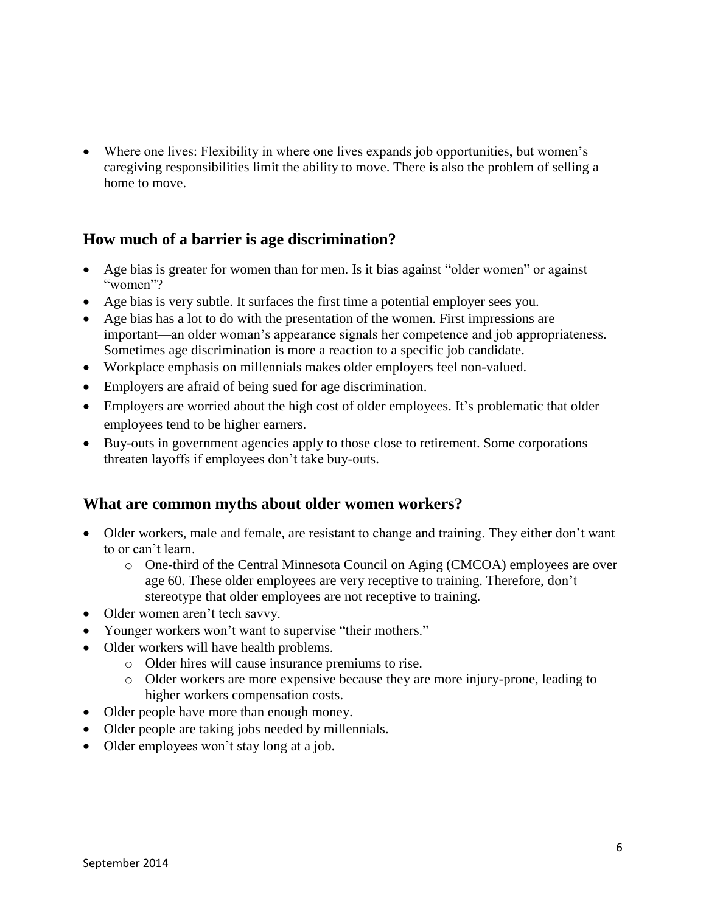Where one lives: Flexibility in where one lives expands job opportunities, but women's caregiving responsibilities limit the ability to move. There is also the problem of selling a home to move.

## **How much of a barrier is age discrimination?**

- Age bias is greater for women than for men. Is it bias against "older women" or against "women"?
- Age bias is very subtle. It surfaces the first time a potential employer sees you.
- Age bias has a lot to do with the presentation of the women. First impressions are important—an older woman's appearance signals her competence and job appropriateness. Sometimes age discrimination is more a reaction to a specific job candidate.
- Workplace emphasis on millennials makes older employers feel non-valued.
- Employers are afraid of being sued for age discrimination.
- Employers are worried about the high cost of older employees. It's problematic that older employees tend to be higher earners.
- Buy-outs in government agencies apply to those close to retirement. Some corporations threaten layoffs if employees don't take buy-outs.

### **What are common myths about older women workers?**

- Older workers, male and female, are resistant to change and training. They either don't want to or can't learn.
	- o One-third of the Central Minnesota Council on Aging (CMCOA) employees are over age 60. These older employees are very receptive to training. Therefore, don't stereotype that older employees are not receptive to training.
- Older women aren't tech savvy.
- Younger workers won't want to supervise "their mothers."
- Older workers will have health problems.
	- o Older hires will cause insurance premiums to rise.
	- o Older workers are more expensive because they are more injury-prone, leading to higher workers compensation costs.
- Older people have more than enough money.
- Older people are taking jobs needed by millennials.
- Older employees won't stay long at a job.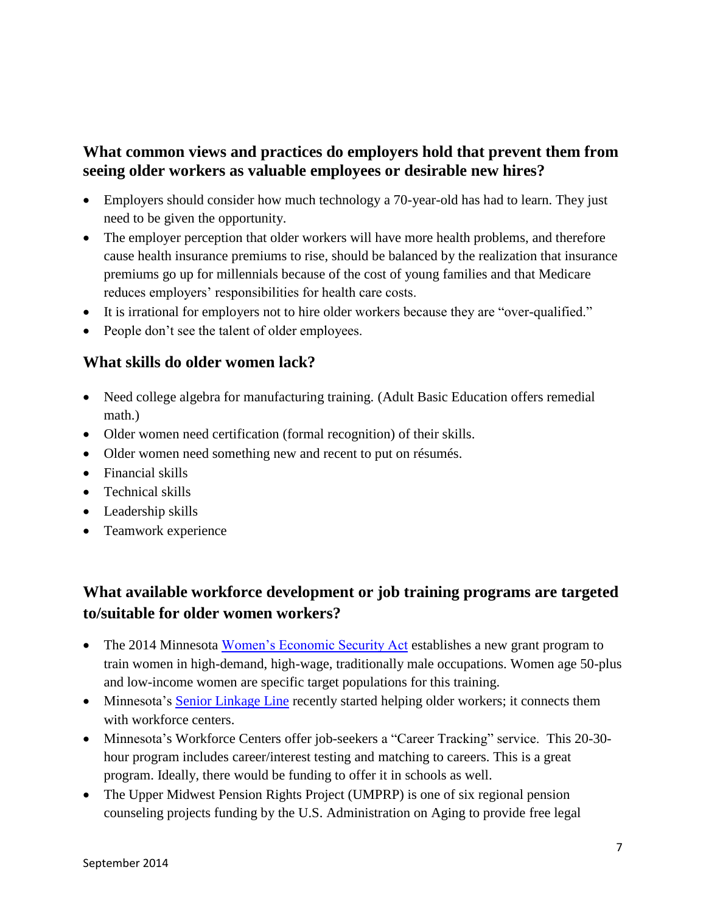# **What common views and practices do employers hold that prevent them from seeing older workers as valuable employees or desirable new hires?**

- Employers should consider how much technology a 70-year-old has had to learn. They just need to be given the opportunity.
- The employer perception that older workers will have more health problems, and therefore cause health insurance premiums to rise, should be balanced by the realization that insurance premiums go up for millennials because of the cost of young families and that Medicare reduces employers' responsibilities for health care costs.
- It is irrational for employers not to hire older workers because they are "over-qualified."
- People don't see the talent of older employees.

### **What skills do older women lack?**

- Need college algebra for manufacturing training. (Adult Basic Education offers remedial math.)
- Older women need certification (formal recognition) of their skills.
- Older women need something new and recent to put on résumés.
- Financial skills
- Technical skills
- Leadership skills
- Teamwork experience

# **What available workforce development or job training programs are targeted to/suitable for older women workers?**

- The 2014 Minnesota [Women's Economic Security Act](https://www.revisor.mn.gov/laws/?year=2014&type=0&doctype=Chapter&id=239) establishes a new grant program to train women in high-demand, high-wage, traditionally male occupations. Women age 50-plus and low-income women are specific target populations for this training.
- Minnesota's [Senior Linkage Line](http://www.dhs.state.mn.us/main/idcplg?IdcService=GET_DYNAMIC_CONVERSION&RevisionSelectionMethod=LatestReleased&dDocName=id_005405) recently started helping older workers; it connects them with workforce centers.
- Minnesota's Workforce Centers offer job-seekers a "Career Tracking" service. This 20-30 hour program includes career/interest testing and matching to careers. This is a great program. Ideally, there would be funding to offer it in schools as well.
- The Upper Midwest Pension Rights Project (UMPRP) is one of six regional pension counseling projects funding by the U.S. Administration on Aging to provide free legal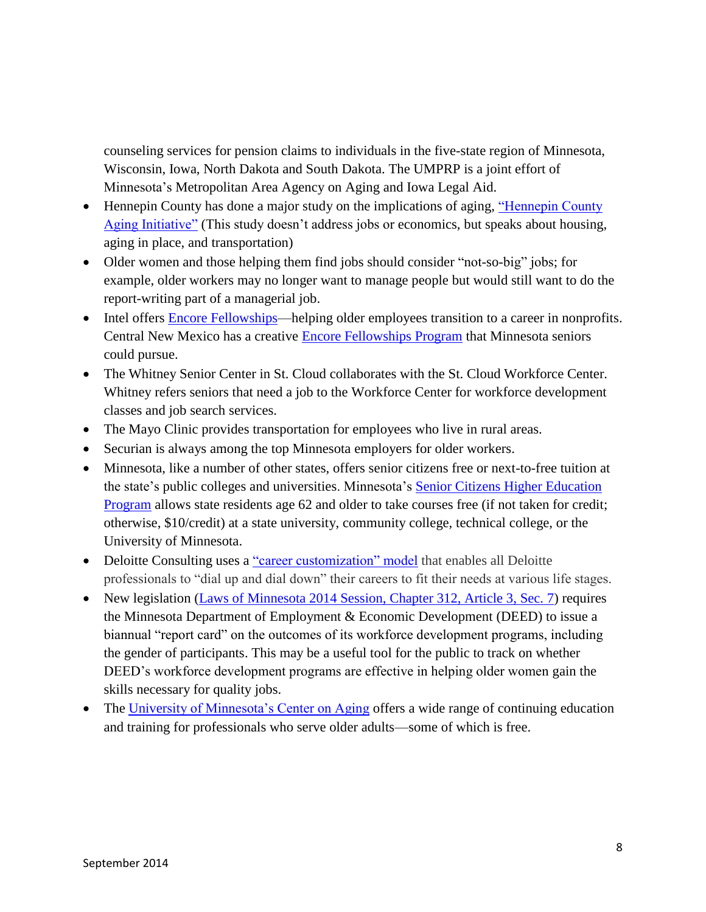counseling services for pension claims to individuals in the five-state region of Minnesota, Wisconsin, Iowa, North Dakota and South Dakota. The UMPRP is a joint effort of Minnesota's Metropolitan Area Agency on Aging and Iowa Legal Aid.

- Hennepin County has done a major study on the implications of aging, "Hennepin County" [Aging Initiative"](http://www.hennepin.us/~/media/hennepinus/your-government/research-data/documents/research-highlights-built-and-physical-environments.pdf) (This study doesn't address jobs or economics, but speaks about housing, aging in place, and transportation)
- Older women and those helping them find jobs should consider "not-so-big" jobs; for example, older workers may no longer want to manage people but would still want to do the report-writing part of a managerial job.
- Intel offers [Encore Fellowships—](http://www.encore.org/learn/fellowships/programs/intel)helping older employees transition to a career in nonprofits. Central New Mexico has a creative [Encore Fellowships Program](http://www.centerfornonprofitexcellence.org/be-encore-fellow) that Minnesota seniors could pursue.
- The Whitney Senior Center in St. Cloud collaborates with the St. Cloud Workforce Center. Whitney refers seniors that need a job to the Workforce Center for workforce development classes and job search services.
- The Mayo Clinic provides transportation for employees who live in rural areas.
- Securian is always among the top Minnesota employers for older workers.
- Minnesota, like a number of other states, offers senior citizens free or next-to-free tuition at the state's public colleges and universities. Minnesota's [Senior Citizens Higher Education](https://www.revisor.mn.gov/statutes/?id=135A.52)  [Program](https://www.revisor.mn.gov/statutes/?id=135A.52) allows state residents age 62 and older to take courses free (if not taken for credit; otherwise, \$10/credit) at a state university, community college, technical college, or the University of Minnesota.
- Deloitte Consulting uses a ["career customization" model](http://www.deloitte.com/view/en_US/us/Services/additional-services/mass-career-customization/c7aa98bbcf084210VgnVCM100000ba42f00aRCRD.htm) that enables all Deloitte professionals to "dial up and dial down" their careers to fit their needs at various life stages.
- New legislation [\(Laws of Minnesota 2014 Session, Chapter 312, Article 3, Sec. 7\)](https://www.revisor.mn.gov/laws/?year=2014&type=0&doctype=Chapter&id=312) requires the Minnesota Department of Employment & Economic Development (DEED) to issue a biannual "report card" on the outcomes of its workforce development programs, including the gender of participants. This may be a useful tool for the public to track on whether DEED's workforce development programs are effective in helping older women gain the skills necessary for quality jobs.
- The [University of Minnesota's Center on Aging](http://www.ahc.umn.edu/sph/coa/ContinuingEducation/index.htm) offers a wide range of continuing education and training for professionals who serve older adults—some of which is free.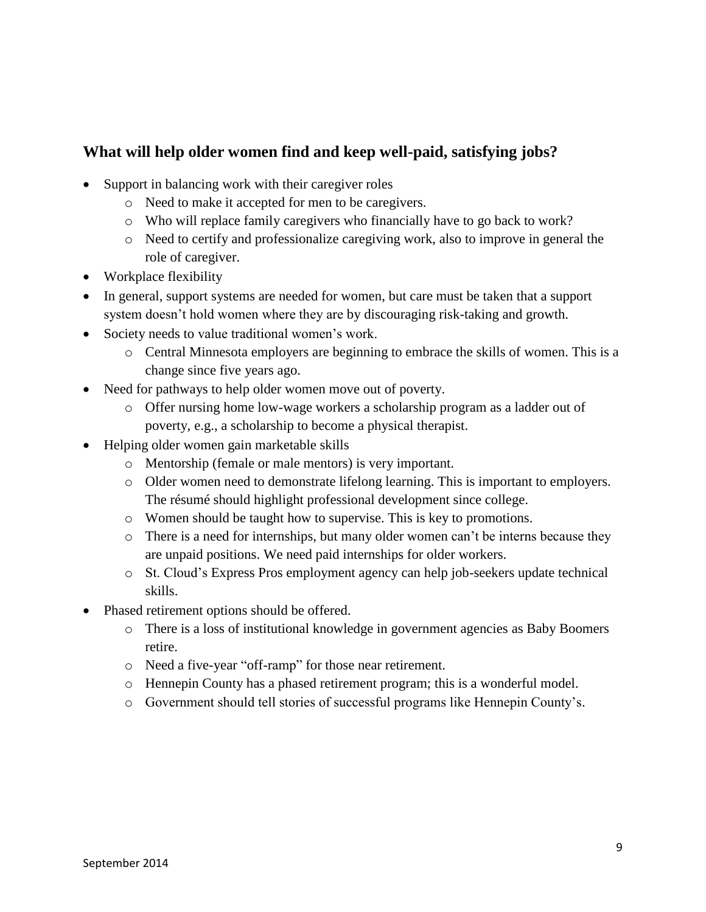# **What will help older women find and keep well-paid, satisfying jobs?**

- Support in balancing work with their caregiver roles
	- o Need to make it accepted for men to be caregivers.
	- o Who will replace family caregivers who financially have to go back to work?
	- o Need to certify and professionalize caregiving work, also to improve in general the role of caregiver.
- Workplace flexibility
- In general, support systems are needed for women, but care must be taken that a support system doesn't hold women where they are by discouraging risk-taking and growth.
- Society needs to value traditional women's work.
	- o Central Minnesota employers are beginning to embrace the skills of women. This is a change since five years ago.
- Need for pathways to help older women move out of poverty.
	- o Offer nursing home low-wage workers a scholarship program as a ladder out of poverty, e.g., a scholarship to become a physical therapist.
- Helping older women gain marketable skills
	- o Mentorship (female or male mentors) is very important.
	- o Older women need to demonstrate lifelong learning. This is important to employers. The résumé should highlight professional development since college.
	- o Women should be taught how to supervise. This is key to promotions.
	- o There is a need for internships, but many older women can't be interns because they are unpaid positions. We need paid internships for older workers.
	- o St. Cloud's Express Pros employment agency can help job-seekers update technical skills.
- Phased retirement options should be offered.
	- o There is a loss of institutional knowledge in government agencies as Baby Boomers retire.
	- o Need a five-year "off-ramp" for those near retirement.
	- o Hennepin County has a phased retirement program; this is a wonderful model.
	- o Government should tell stories of successful programs like Hennepin County's.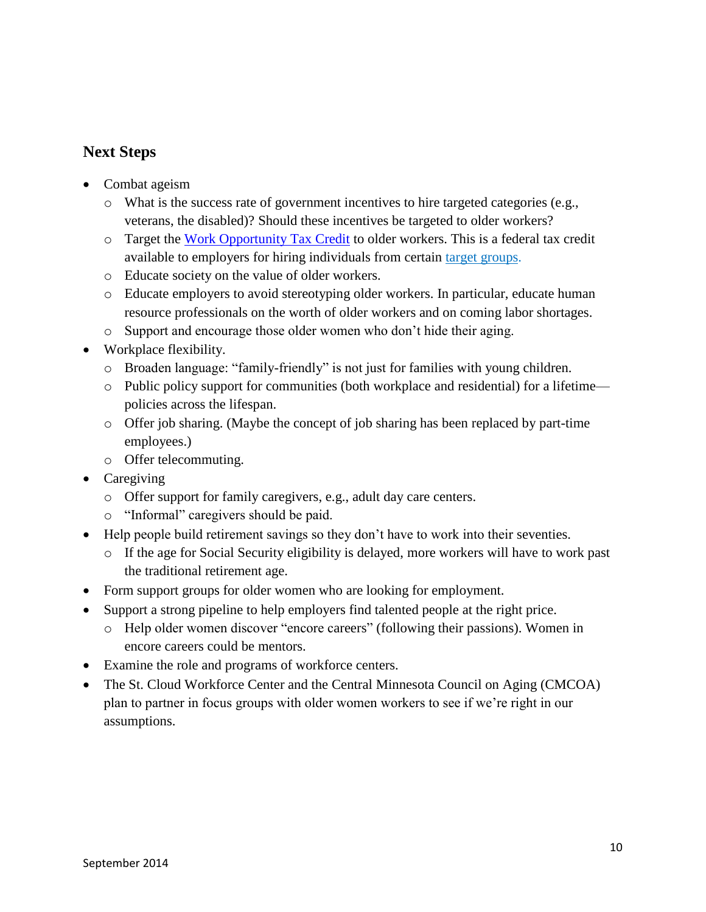# **Next Steps**

- Combat ageism
	- o What is the success rate of government incentives to hire targeted categories (e.g., veterans, the disabled)? Should these incentives be targeted to older workers?
	- o Target the [Work Opportunity Tax Credit](http://www.doleta.gov/business/incentives/opptax/) to older workers. This is a federal tax credit available to employers for hiring individuals from certain [target groups.](http://www.doleta.gov/business/incentives/opptax/eligible.cfm)
	- o Educate society on the value of older workers.
	- o Educate employers to avoid stereotyping older workers. In particular, educate human resource professionals on the worth of older workers and on coming labor shortages.
	- o Support and encourage those older women who don't hide their aging.
- Workplace flexibility.
	- o Broaden language: "family-friendly" is not just for families with young children.
	- o Public policy support for communities (both workplace and residential) for a lifetime policies across the lifespan.
	- o Offer job sharing. (Maybe the concept of job sharing has been replaced by part-time employees.)
	- o Offer telecommuting.
- Caregiving
	- o Offer support for family caregivers, e.g., adult day care centers.
	- o "Informal" caregivers should be paid.
- Help people build retirement savings so they don't have to work into their seventies.
	- o If the age for Social Security eligibility is delayed, more workers will have to work past the traditional retirement age.
- Form support groups for older women who are looking for employment.
- Support a strong pipeline to help employers find talented people at the right price.
	- o Help older women discover "encore careers" (following their passions). Women in encore careers could be mentors.
- Examine the role and programs of workforce centers.
- The St. Cloud Workforce Center and the Central Minnesota Council on Aging (CMCOA) plan to partner in focus groups with older women workers to see if we're right in our assumptions.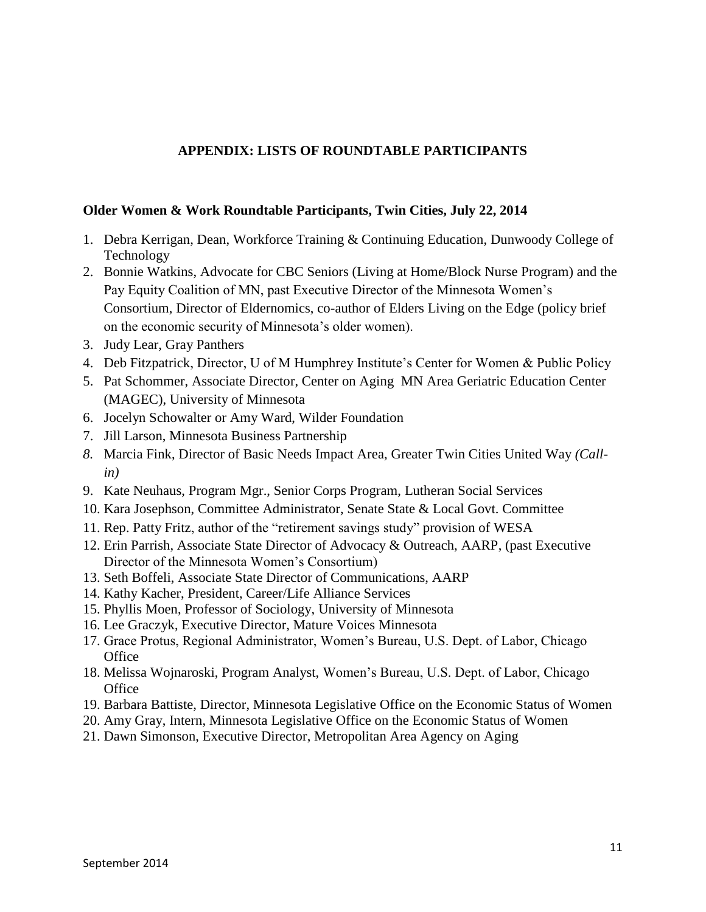#### **APPENDIX: LISTS OF ROUNDTABLE PARTICIPANTS**

#### **Older Women & Work Roundtable Participants, Twin Cities, July 22, 2014**

- 1. Debra Kerrigan, Dean, Workforce Training & Continuing Education, Dunwoody College of Technology
- 2. Bonnie Watkins, Advocate for CBC Seniors (Living at Home/Block Nurse Program) and the Pay Equity Coalition of MN, past Executive Director of the Minnesota Women's Consortium, Director of Eldernomics, co-author of Elders Living on the Edge (policy brief on the economic security of Minnesota's older women).
- 3. Judy Lear, Gray Panthers
- 4. Deb Fitzpatrick, Director, U of M Humphrey Institute's Center for Women & Public Policy
- 5. Pat Schommer, Associate Director, Center on Aging MN Area Geriatric Education Center (MAGEC), University of Minnesota
- 6. Jocelyn Schowalter or Amy Ward, Wilder Foundation
- 7. Jill Larson, Minnesota Business Partnership
- *8.* Marcia Fink, Director of Basic Needs Impact Area, Greater Twin Cities United Way *(Callin)*
- 9. Kate Neuhaus, Program Mgr., Senior Corps Program, Lutheran Social Services
- 10. Kara Josephson, Committee Administrator, Senate State & Local Govt. Committee
- 11. Rep. Patty Fritz, author of the "retirement savings study" provision of WESA
- 12. Erin Parrish, Associate State Director of Advocacy & Outreach, AARP, (past Executive Director of the Minnesota Women's Consortium)
- 13. Seth Boffeli, Associate State Director of Communications, AARP
- 14. Kathy Kacher, President, Career/Life Alliance Services
- 15. Phyllis Moen, Professor of Sociology, University of Minnesota
- 16. Lee Graczyk, Executive Director, Mature Voices Minnesota
- 17. Grace Protus, Regional Administrator, Women's Bureau, U.S. Dept. of Labor, Chicago **Office**
- 18. Melissa Wojnaroski, Program Analyst, Women's Bureau, U.S. Dept. of Labor, Chicago **Office**
- 19. Barbara Battiste, Director, Minnesota Legislative Office on the Economic Status of Women
- 20. Amy Gray, Intern, Minnesota Legislative Office on the Economic Status of Women
- 21. Dawn Simonson, Executive Director, Metropolitan Area Agency on Aging